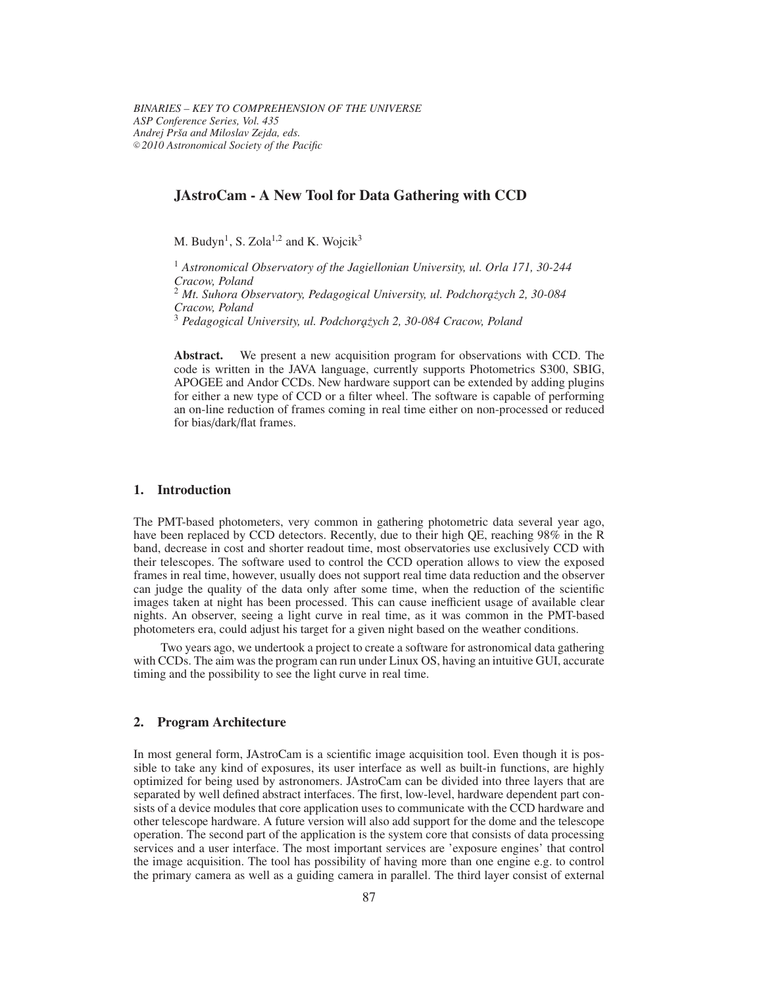# **JAstroCam - A New Tool for Data Gathering with CCD**

M. Budyn<sup>1</sup>, S. Zola<sup>1,2</sup> and K. Wojcik<sup>3</sup>

<sup>1</sup> *Astronomical Observatory of the Jagiellonian University, ul. Orla 171, 30-244 Cracow, Poland* <sup>2</sup> *Mt. Suhora Observatory, Pedagogical University, ul. Podchora¸z˙ych 2, 30-084 Cracow, Poland* <sup>3</sup> *Pedagogical University, ul. Podchora¸z˙ych 2, 30-084 Cracow, Poland*

**Abstract.** We present a new acquisition program for observations with CCD. The code is written in the JAVA language, currently supports Photometrics S300, SBIG, APOGEE and Andor CCDs. New hardware support can be extended by adding plugins for either a new type of CCD or a filter wheel. The software is capable of performing an on-line reduction of frames coming in real time either on non-processed or reduced for bias/dark/flat frames.

#### **1. Introduction**

The PMT-based photometers, very common in gathering photometric data several year ago, have been replaced by CCD detectors. Recently, due to their high QE, reaching 98% in the R band, decrease in cost and shorter readout time, most observatories use exclusively CCD with their telescopes. The software used to control the CCD operation allows to view the exposed frames in real time, however, usually does not support real time data reduction and the observer can judge the quality of the data only after some time, when the reduction of the scientific images taken at night has been processed. This can cause inefficient usage of available clear nights. An observer, seeing a light curve in real time, as it was common in the PMT-based photometers era, could adjust his target for a given night based on the weather conditions.

Two years ago, we undertook a project to create a software for astronomical data gathering with CCDs. The aim wasthe program can run under Linux OS, having an intuitive GUI, accurate timing and the possibility to see the light curve in real time.

#### **2. Program Architecture**

In most general form, JAstroCam is a scientific image acquisition tool. Even though it is possible to take any kind of exposures, its user interface as well as built-in functions, are highly optimized for being used by astronomers. JAstroCam can be divided into three layers that are separated by well defined abstract interfaces. The first, low-level, hardware dependent part consists of a device modules that core application uses to communicate with the CCD hardware and other telescope hardware. A future version will also add support for the dome and the telescope operation. The second part of the application is the system core that consists of data processing services and a user interface. The most important services are 'exposure engines' that control the image acquisition. The tool has possibility of having more than one engine e.g. to control the primary camera as well as a guiding camera in parallel. The third layer consist of external